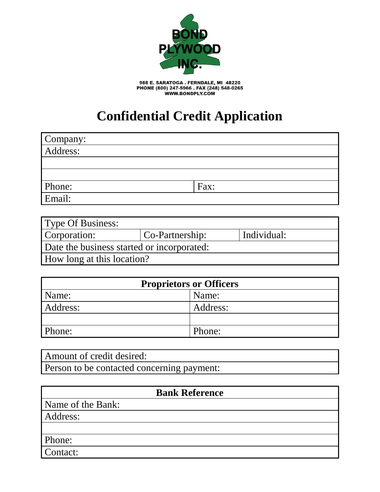

988 E. SARATOGA . FERNDALE, MI 48220<br>PHONE (800) 247-5966 . FAX (248) 548-0265 **WWW.BONDPLY.COM** 

## **Confidential Credit Application**

| Company: |      |
|----------|------|
| Address: |      |
|          |      |
|          |      |
| Phone:   | Fax: |
| Email:   |      |

| <b>Type Of Business:</b>                   |                 |             |
|--------------------------------------------|-----------------|-------------|
| Corporation:                               | Co-Partnership: | Individual: |
| Date the business started or incorporated: |                 |             |
| How long at this location?                 |                 |             |

| <b>Proprietors or Officers</b> |          |  |
|--------------------------------|----------|--|
| Name:                          | Name:    |  |
| Address:                       | Address: |  |
|                                |          |  |
| Phone:                         | Phone:   |  |

| Amount of credit desired:                  |  |
|--------------------------------------------|--|
| Person to be contacted concerning payment: |  |

| <b>Bank Reference</b> |  |
|-----------------------|--|
| Name of the Bank:     |  |
| Address:              |  |
|                       |  |
| Phone:                |  |
| Contact:              |  |